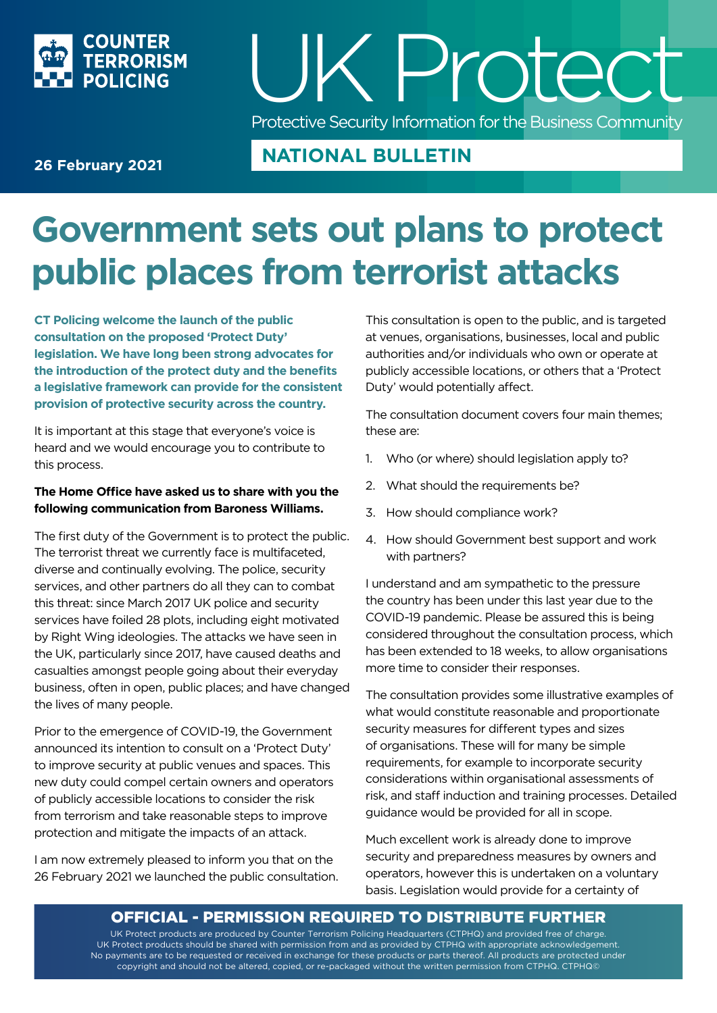

## UK P rotect Protective Security Information for the Business Community

### **26 February 2021**

### **NATIONAL BULLETIN**

### **Government sets out plans to protect public places from terrorist attacks**

**CT Policing welcome the launch of the public consultation on the proposed 'Protect Duty' legislation. We have long been strong advocates for the introduction of the protect duty and the benefits a legislative framework can provide for the consistent provision of protective security across the country.**

It is important at this stage that everyone's voice is heard and we would encourage you to contribute to this process.

#### **The Home Office have asked us to share with you the following communication from Baroness Williams.**

The first duty of the Government is to protect the public. The terrorist threat we currently face is multifaceted, diverse and continually evolving. The police, security services, and other partners do all they can to combat this threat: since March 2017 UK police and security services have foiled 28 plots, including eight motivated by Right Wing ideologies. The attacks we have seen in the UK, particularly since 2017, have caused deaths and casualties amongst people going about their everyday business, often in open, public places; and have changed the lives of many people.

Prior to the emergence of COVID-19, the Government announced its intention to consult on a 'Protect Duty' to improve security at public venues and spaces. This new duty could compel certain owners and operators of publicly accessible locations to consider the risk from terrorism and take reasonable steps to improve protection and mitigate the impacts of an attack.

I am now extremely pleased to inform you that on the 26 February 2021 we launched the public consultation. This consultation is open to the public, and is targeted at venues, organisations, businesses, local and public authorities and/or individuals who own or operate at publicly accessible locations, or others that a 'Protect Duty' would potentially affect.

The consultation document covers four main themes; these are:

- 1. Who (or where) should legislation apply to?
- 2. What should the requirements be?
- 3. How should compliance work?
- 4. How should Government best support and work with partners?

I understand and am sympathetic to the pressure the country has been under this last year due to the COVID-19 pandemic. Please be assured this is being considered throughout the consultation process, which has been extended to 18 weeks, to allow organisations more time to consider their responses.

The consultation provides some illustrative examples of what would constitute reasonable and proportionate security measures for different types and sizes of organisations. These will for many be simple requirements, for example to incorporate security considerations within organisational assessments of risk, and staff induction and training processes. Detailed guidance would be provided for all in scope.

Much excellent work is already done to improve security and preparedness measures by owners and operators, however this is undertaken on a voluntary basis. Legislation would provide for a certainty of

### OFFICIAL - PERMISSION REQUIRED TO DISTRIBUTE FURTHER

UK Protect products are produced by Counter Terrorism Policing Headquarters (CTPHQ) and provided free of charge. UK Protect products should be shared with permission from and as provided by CTPHQ with appropriate acknowledgement. No payments are to be requested or received in exchange for these products or parts thereof. All products are protected under copyright and should not be altered, copied, or re-packaged without the written permission from CTPHQ. CTPHQ©